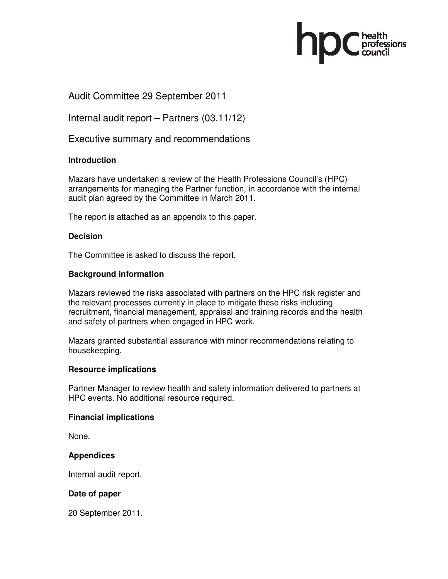

# Audit Committee 29 September 2011

Internal audit report – Partners (03.11/12)

Executive summary and recommendations

## **Introduction**

Mazars have undertaken a review of the Health Professions Council's (HPC) arrangements for managing the Partner function, in accordance with the internal audit plan agreed by the Committee in March 2011.

The report is attached as an appendix to this paper.

### **Decision**

The Committee is asked to discuss the report.

### **Background information**

Mazars reviewed the risks associated with partners on the HPC risk register and the relevant processes currently in place to mitigate these risks including recruitment, financial management, appraisal and training records and the health and safety of partners when engaged in HPC work.

Mazars granted substantial assurance with minor recommendations relating to housekeeping.

### **Resource implications**

Partner Manager to review health and safety information delivered to partners at HPC events. No additional resource required.

### **Financial implications**

None.

## **Appendices**

Internal audit report.

## **Date of paper**

20 September 2011.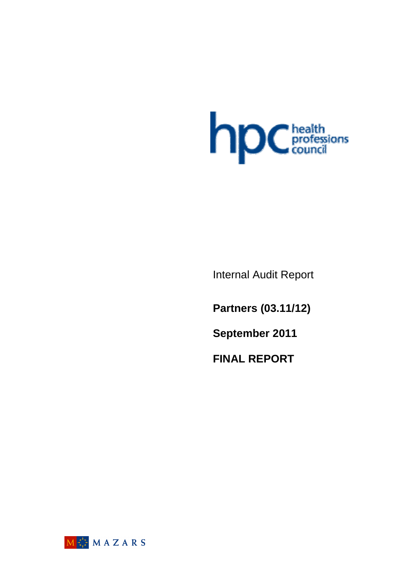

Internal Audit Report

**Partners (03.11/12)** 

**September 2011** 

**FINAL REPORT**

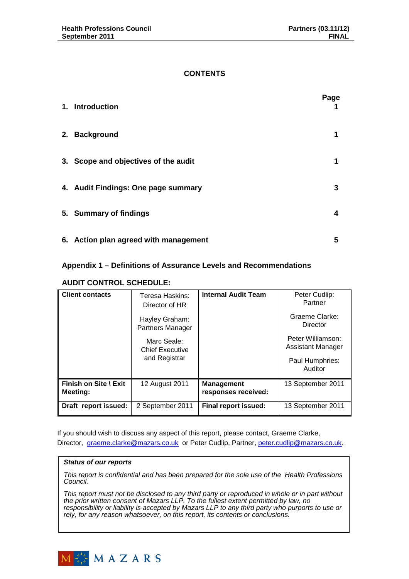### **CONTENTS**

| 1. Introduction                       | Page |
|---------------------------------------|------|
| 2. Background                         | 1    |
| 3. Scope and objectives of the audit  | 1    |
| 4. Audit Findings: One page summary   | 3    |
| 5. Summary of findings                | 4    |
| 6. Action plan agreed with management | 5    |

## **Appendix 1 – Definitions of Assurance Levels and Recommendations**

### **AUDIT CONTROL SCHEDULE:**

| <b>Client contacts</b>            | Teresa Haskins:<br>Director of HR         |                                          | Peter Cudlip:<br>Partner               |
|-----------------------------------|-------------------------------------------|------------------------------------------|----------------------------------------|
|                                   | Hayley Graham:<br><b>Partners Manager</b> |                                          | Graeme Clarke:<br>Director             |
|                                   | Marc Seale:<br><b>Chief Executive</b>     |                                          | Peter Williamson:<br>Assistant Manager |
|                                   | and Registrar                             |                                          | Paul Humphries:<br>Auditor             |
| Finish on Site \ Exit<br>Meeting: | 12 August 2011                            | <b>Management</b><br>responses received: | 13 September 2011                      |
| Draft report issued:              | 2 September 2011                          | <b>Final report issued:</b>              | 13 September 2011                      |

If you should wish to discuss any aspect of this report, please contact, Graeme Clarke, Director, graeme.clarke@mazars.co.uk or Peter Cudlip, Partner, peter.cudlip@mazars.co.uk.

#### **Status of our reports**

This report is confidential and has been prepared for the sole use of the Health Professions Council.

This report must not be disclosed to any third party or reproduced in whole or in part without the prior written consent of Mazars LLP. To the fullest extent permitted by law, no responsibility or liability is accepted by Mazars LLP to any third party who purports to use or rely, for any reason whatsoever, on this report, its contents or conclusions.

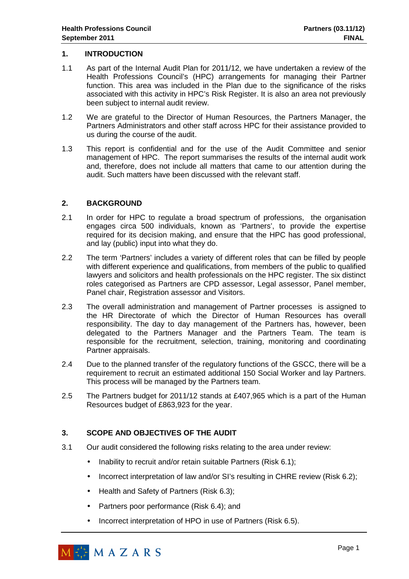### **1. INTRODUCTION**

- 1.1 As part of the Internal Audit Plan for 2011/12, we have undertaken a review of the Health Professions Council's (HPC) arrangements for managing their Partner function. This area was included in the Plan due to the significance of the risks associated with this activity in HPC's Risk Register. It is also an area not previously been subject to internal audit review.
- 1.2 We are grateful to the Director of Human Resources, the Partners Manager, the Partners Administrators and other staff across HPC for their assistance provided to us during the course of the audit.
- 1.3 This report is confidential and for the use of the Audit Committee and senior management of HPC. The report summarises the results of the internal audit work and, therefore, does not include all matters that came to our attention during the audit. Such matters have been discussed with the relevant staff.

## **2. BACKGROUND**

- 2.1 In order for HPC to regulate a broad spectrum of professions, the organisation engages circa 500 individuals, known as 'Partners', to provide the expertise required for its decision making, and ensure that the HPC has good professional, and lay (public) input into what they do.
- 2.2 The term 'Partners' includes a variety of different roles that can be filled by people with different experience and qualifications, from members of the public to qualified lawyers and solicitors and health professionals on the HPC register. The six distinct roles categorised as Partners are CPD assessor, Legal assessor, Panel member, Panel chair, Registration assessor and Visitors.
- 2.3 The overall administration and management of Partner processes is assigned to the HR Directorate of which the Director of Human Resources has overall responsibility. The day to day management of the Partners has, however, been delegated to the Partners Manager and the Partners Team. The team is responsible for the recruitment, selection, training, monitoring and coordinating Partner appraisals.
- 2.4 Due to the planned transfer of the regulatory functions of the GSCC, there will be a requirement to recruit an estimated additional 150 Social Worker and lay Partners. This process will be managed by the Partners team.
- 2.5 The Partners budget for 2011/12 stands at £407,965 which is a part of the Human Resources budget of £863,923 for the year.

## **3. SCOPE AND OBJECTIVES OF THE AUDIT**

- 3.1 Our audit considered the following risks relating to the area under review:
	- Inability to recruit and/or retain suitable Partners (Risk 6.1);
	- Incorrect interpretation of law and/or SI's resulting in CHRE review (Risk 6.2);
	- Health and Safety of Partners (Risk 6.3);
	- Partners poor performance (Risk 6.4); and
	- Incorrect interpretation of HPO in use of Partners (Risk 6.5).

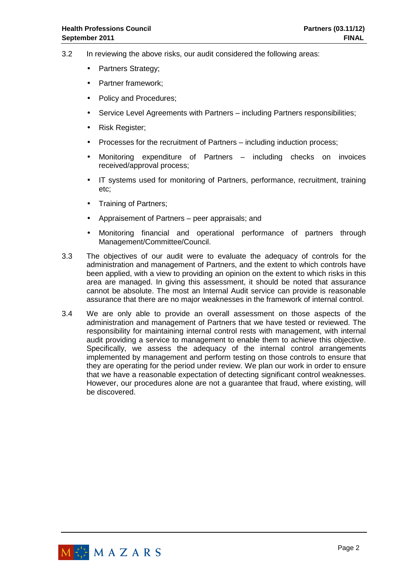- 3.2 In reviewing the above risks, our audit considered the following areas:
	- Partners Strategy:
	- Partner framework:
	- Policy and Procedures;
	- Service Level Agreements with Partners including Partners responsibilities;
	- Risk Register;
	- Processes for the recruitment of Partners including induction process;
	- Monitoring expenditure of Partners including checks on invoices received/approval process;
	- IT systems used for monitoring of Partners, performance, recruitment, training etc;
	- Training of Partners:
	- Appraisement of Partners peer appraisals; and
	- Monitoring financial and operational performance of partners through Management/Committee/Council.
- 3.3 The objectives of our audit were to evaluate the adequacy of controls for the administration and management of Partners, and the extent to which controls have been applied, with a view to providing an opinion on the extent to which risks in this area are managed. In giving this assessment, it should be noted that assurance cannot be absolute. The most an Internal Audit service can provide is reasonable assurance that there are no major weaknesses in the framework of internal control.
- 3.4 We are only able to provide an overall assessment on those aspects of the administration and management of Partners that we have tested or reviewed. The responsibility for maintaining internal control rests with management, with internal audit providing a service to management to enable them to achieve this objective. Specifically, we assess the adequacy of the internal control arrangements implemented by management and perform testing on those controls to ensure that they are operating for the period under review. We plan our work in order to ensure that we have a reasonable expectation of detecting significant control weaknesses. However, our procedures alone are not a guarantee that fraud, where existing, will be discovered.

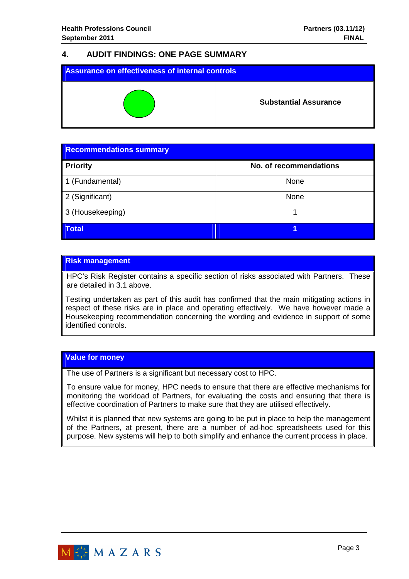# **4. AUDIT FINDINGS: ONE PAGE SUMMARY**

| Assurance on effectiveness of internal controls |                              |  |
|-------------------------------------------------|------------------------------|--|
|                                                 | <b>Substantial Assurance</b> |  |

| <b>Recommendations summary</b> |                        |  |
|--------------------------------|------------------------|--|
| <b>Priority</b>                | No. of recommendations |  |
| 1 (Fundamental)                | None                   |  |
| 2 (Significant)                | None                   |  |
| 3 (Housekeeping)               |                        |  |
| <b>Total</b>                   |                        |  |

### **Risk management**

HPC's Risk Register contains a specific section of risks associated with Partners. These are detailed in 3.1 above.

Testing undertaken as part of this audit has confirmed that the main mitigating actions in respect of these risks are in place and operating effectively. We have however made a Housekeeping recommendation concerning the wording and evidence in support of some identified controls.

#### **Value for money**

The use of Partners is a significant but necessary cost to HPC.

To ensure value for money, HPC needs to ensure that there are effective mechanisms for monitoring the workload of Partners, for evaluating the costs and ensuring that there is effective coordination of Partners to make sure that they are utilised effectively.

Whilst it is planned that new systems are going to be put in place to help the management of the Partners, at present, there are a number of ad-hoc spreadsheets used for this purpose. New systems will help to both simplify and enhance the current process in place.

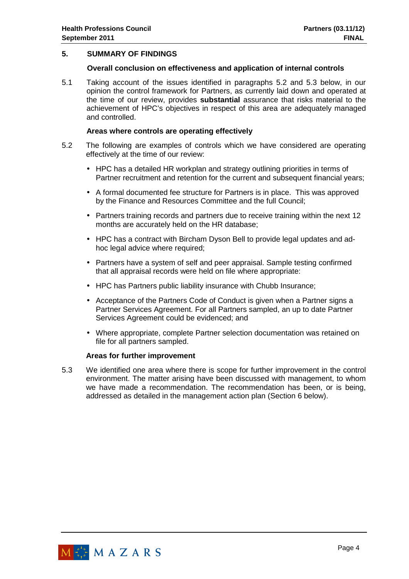### **5. SUMMARY OF FINDINGS**

#### **Overall conclusion on effectiveness and application of internal controls**

5.1 Taking account of the issues identified in paragraphs 5.2 and 5.3 below, in our opinion the control framework for Partners, as currently laid down and operated at the time of our review, provides **substantial** assurance that risks material to the achievement of HPC's objectives in respect of this area are adequately managed and controlled.

#### **Areas where controls are operating effectively**

- 5.2 The following are examples of controls which we have considered are operating effectively at the time of our review:
	- HPC has a detailed HR workplan and strategy outlining priorities in terms of Partner recruitment and retention for the current and subsequent financial years;
	- A formal documented fee structure for Partners is in place. This was approved by the Finance and Resources Committee and the full Council;
	- Partners training records and partners due to receive training within the next 12 months are accurately held on the HR database;
	- HPC has a contract with Bircham Dyson Bell to provide legal updates and adhoc legal advice where required;
	- Partners have a system of self and peer appraisal. Sample testing confirmed that all appraisal records were held on file where appropriate:
	- HPC has Partners public liability insurance with Chubb Insurance;
	- Acceptance of the Partners Code of Conduct is given when a Partner signs a Partner Services Agreement. For all Partners sampled, an up to date Partner Services Agreement could be evidenced; and
	- Where appropriate, complete Partner selection documentation was retained on file for all partners sampled.

#### **Areas for further improvement**

5.3 We identified one area where there is scope for further improvement in the control environment. The matter arising have been discussed with management, to whom we have made a recommendation. The recommendation has been, or is being, addressed as detailed in the management action plan (Section 6 below).

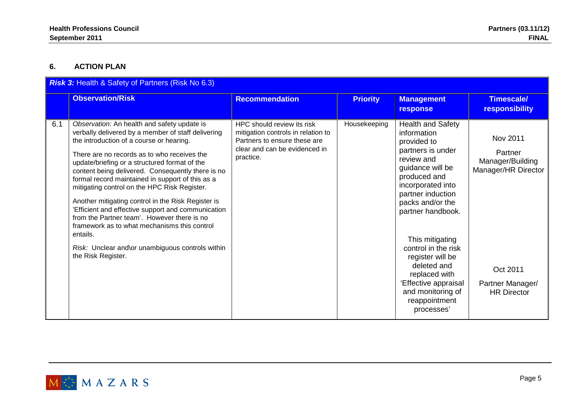## **6. ACTION PLAN**

| <b>Risk 3: Health &amp; Safety of Partners (Risk No 6.3)</b> |                                                                                                                                                                                                                                                                                                                                                                                                                                                                                                                                                                                                                                                                                                         |                                                                                                                                                |                 |                                                                                                                                                                                                                                                                                                                                                                                            |                                                                                                                      |
|--------------------------------------------------------------|---------------------------------------------------------------------------------------------------------------------------------------------------------------------------------------------------------------------------------------------------------------------------------------------------------------------------------------------------------------------------------------------------------------------------------------------------------------------------------------------------------------------------------------------------------------------------------------------------------------------------------------------------------------------------------------------------------|------------------------------------------------------------------------------------------------------------------------------------------------|-----------------|--------------------------------------------------------------------------------------------------------------------------------------------------------------------------------------------------------------------------------------------------------------------------------------------------------------------------------------------------------------------------------------------|----------------------------------------------------------------------------------------------------------------------|
|                                                              | <b>Observation/Risk</b>                                                                                                                                                                                                                                                                                                                                                                                                                                                                                                                                                                                                                                                                                 | <b>Recommendation</b>                                                                                                                          | <b>Priority</b> | <b>Management</b><br>response                                                                                                                                                                                                                                                                                                                                                              | <b>Timescale/</b><br><b>responsibility</b>                                                                           |
| 6.1                                                          | Observation: An health and safety update is<br>verbally delivered by a member of staff delivering<br>the introduction of a course or hearing.<br>There are no records as to who receives the<br>update/briefing or a structured format of the<br>content being delivered. Consequently there is no<br>formal record maintained in support of this as a<br>mitigating control on the HPC Risk Register.<br>Another mitigating control in the Risk Register is<br>'Efficient and effective support and communication<br>from the Partner team'. However there is no<br>framework as to what mechanisms this control<br>entails.<br>Risk: Unclear and\or unambiguous controls within<br>the Risk Register. | HPC should review its risk<br>mitigation controls in relation to<br>Partners to ensure these are<br>clear and can be evidenced in<br>practice. | Housekeeping    | <b>Health and Safety</b><br>information<br>provided to<br>partners is under<br>review and<br>guidance will be<br>produced and<br>incorporated into<br>partner induction<br>packs and/or the<br>partner handbook.<br>This mitigating<br>control in the risk<br>register will be<br>deleted and<br>replaced with<br>'Effective appraisal<br>and monitoring of<br>reappointment<br>processes' | Nov 2011<br>Partner<br>Manager/Building<br>Manager/HR Director<br>Oct 2011<br>Partner Manager/<br><b>HR Director</b> |